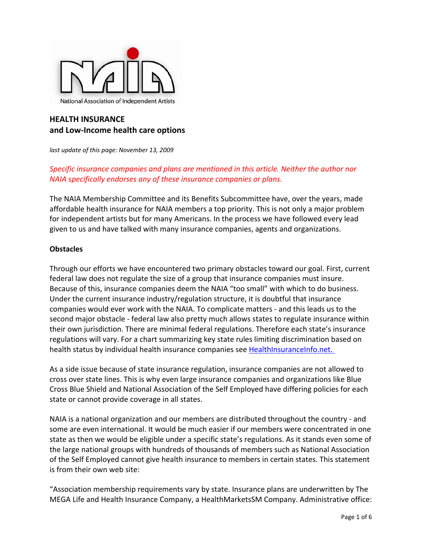

# **HEALTH INSURANCE and Low‐Income health care options**

*last update of this page: November 13, 2009* 

# *Specific insurance companies and plans are mentioned in this article. Neither the author nor NAIA specifically endorses any of these insurance companies or plans.*

The NAIA Membership Committee and its Benefits Subcommittee have, over the years, made affordable health insurance for NAIA members a top priority. This is not only a major problem for independent artists but for many Americans. In the process we have followed every lead given to us and have talked with many insurance companies, agents and organizations.

# **Obstacles**

Through our efforts we have encountered two primary obstacles toward our goal. First, current federal law does not regulate the size of a group that insurance companies must insure. Because of this, insurance companies deem the NAIA "too small" with which to do business. Under the current insurance industry/regulation structure, it is doubtful that insurance companies would ever work with the NAIA. To complicate matters ‐ and this leads us to the second major obstacle - federal law also pretty much allows states to regulate insurance within their own jurisdiction. There are minimal federal regulations. Therefore each state's insurance regulations will vary. For a chart summarizing key state rules limiting discrimination based on health status by individual health insurance companies see [HealthInsuranceInfo.net.](http://www.healthinsuranceinfo.net/newsyoucanuse/discrimination_limits.pdf)

As a side issue because of state insurance regulation, insurance companies are not allowed to cross over state lines. This is why even large insurance companies and organizations like Blue Cross Blue Shield and National Association of the Self Employed have differing policies for each state or cannot provide coverage in all states.

NAIA is a national organization and our members are distributed throughout the country ‐ and some are even international. It would be much easier if our members were concentrated in one state as then we would be eligible under a specific state's regulations. As it stands even some of the large national groups with hundreds of thousands of members such as National Association of the Self Employed cannot give health insurance to members in certain states. This statement is from their own web site:

"Association membership requirements vary by state. Insurance plans are underwritten by The MEGA Life and Health Insurance Company, a HealthMarketsSM Company. Administrative office: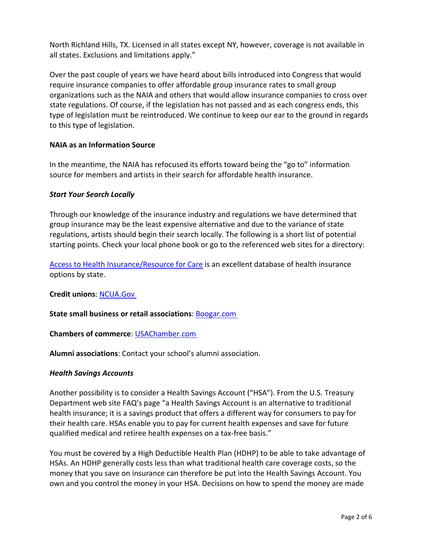North Richland Hills, TX. Licensed in all states except NY, however, coverage is not available in all states. Exclusions and limitations apply."

Over the past couple of years we have heard about bills introduced into Congress that would require insurance companies to offer affordable group insurance rates to small group organizations such as the NAIA and others that would allow insurance companies to cross over state regulations. Of course, if the legislation has not passed and as each congress ends, this type of legislation must be reintroduced. We continue to keep our ear to the ground in regards to this type of legislation.

# **NAIA as an Information Source**

In the meantime, the NAIA has refocused its efforts toward being the "go to" information source for members and artists in their search for affordable health insurance.

# *Start Your Search Locally*

Through our knowledge of the insurance industry and regulations we have determined that group insurance may be the least expensive alternative and due to the variance of state regulations, artists should begin their search locally. The following is a short list of potential starting points. Check your local phone book or go to the referenced web sites for a directory:

Access to Health [Insurance/Resource](http://www.ahirc.org/) for Care is an excellent database of health insurance options by state.

# **Credit unions**: [NCUA.Gov](http://www.ncua.gov/data/directory/cudir.html)

# **State small business or retail associations**: [Boogar.com](http://www.boogar.com/resources/associations/retail_trade.htm)

**Chambers of commerce**: [USAChamber.com](http://www.uschamber.com/chambers/directory/default.htm?n=tb)

**Alumni associations**: Contact your school's alumni association.

# *Health Savings Accounts*

Another possibility is to consider a Health Savings Account ("HSA"). From the U.S. Treasury Department web site FAQ's page "a Health Savings Account is an alternative to traditional health insurance; it is a savings product that offers a different way for consumers to pay for their health care. HSAs enable you to pay for current health expenses and save for future qualified medical and retiree health expenses on a tax‐free basis."

You must be covered by a High Deductible Health Plan (HDHP) to be able to take advantage of HSAs. An HDHP generally costs less than what traditional health care coverage costs, so the money that you save on insurance can therefore be put into the Health Savings Account. You own and you control the money in your HSA. Decisions on how to spend the money are made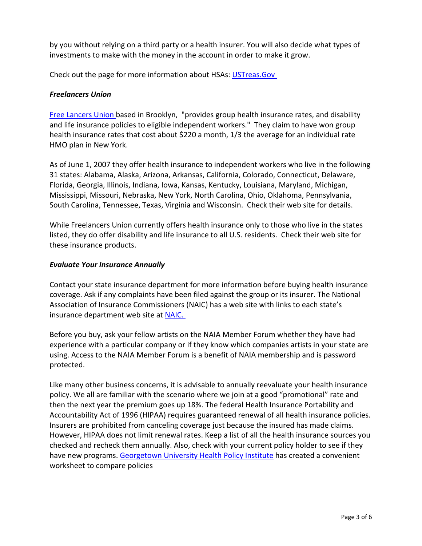by you without relying on a third party or a health insurer. You will also decide what types of investments to make with the money in the account in order to make it grow.

Check out the page for more information about HSAs: [USTreas.Gov](http://www.ustreas.gov/offices/public-affairs/hsa/faq.shtml)

# *Freelancers Union*

Free [Lancers](http://www.freelancersunion.org/) Union based in Brooklyn, "provides group health insurance rates, and disability and life insurance policies to eligible independent workers." They claim to have won group health insurance rates that cost about \$220 a month, 1/3 the average for an individual rate HMO plan in New York.

As of June 1, 2007 they offer health insurance to independent workers who live in the following 31 states: Alabama, Alaska, Arizona, Arkansas, California, Colorado, Connecticut, Delaware, Florida, Georgia, Illinois, Indiana, Iowa, Kansas, Kentucky, Louisiana, Maryland, Michigan, Mississippi, Missouri, Nebraska, New York, North Carolina, Ohio, Oklahoma, Pennsylvania, South Carolina, Tennessee, Texas, Virginia and Wisconsin. Check their web site for details.

While Freelancers Union currently offers health insurance only to those who live in the states listed, they do offer disability and life insurance to all U.S. residents. Check their web site for these insurance products.

# *Evaluate Your Insurance Annually*

Contact your state insurance department for more information before buying health insurance coverage. Ask if any complaints have been filed against the group or its insurer. The National Association of Insurance Commissioners (NAIC) has a web site with links to each state's insurance department web site at [NAIC.](http://www.naic.org/state_web_map.htm)

Before you buy, ask your fellow artists on the NAIA Member Forum whether they have had experience with a particular company or if they know which companies artists in your state are using. Access to the NAIA Member Forum is a benefit of NAIA membership and is password protected.

Like many other business concerns, it is advisable to annually reevaluate your health insurance policy. We all are familiar with the scenario where we join at a good "promotional" rate and then the next year the premium goes up 18%. The federal Health Insurance Portability and Accountability Act of 1996 (HIPAA) requires guaranteed renewal of all health insurance policies. Insurers are prohibited from canceling coverage just because the insured has made claims. However, HIPAA does not limit renewal rates. Keep a list of all the health insurance sources you checked and recheck them annually. Also, check with your current policy holder to see if they have new programs. [Georgetown](http://ihcrp.georgetown.edu/) University Health Policy Institute has created a convenient worksheet to compare policies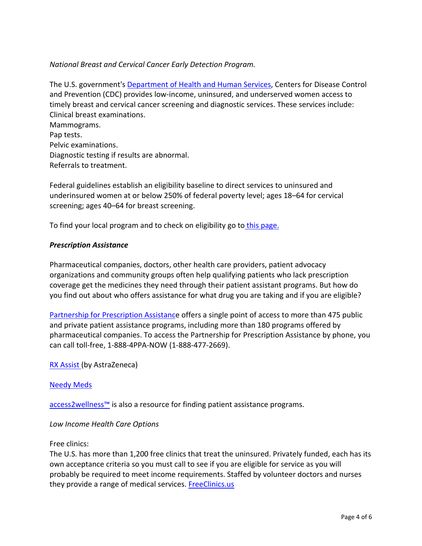# *National Breast and Cervical Cancer Early Detection Program.*

The U.S. government's [Department](http://www.cdc.gov/cancer/nbccedp/) of Health and Human Services, Centers for Disease Control and Prevention (CDC) provides low‐income, uninsured, and underserved women access to timely breast and cervical cancer screening and diagnostic services. These services include: Clinical breast examinations. Mammograms. Pap tests. Pelvic examinations.

Diagnostic testing if results are abnormal.

Referrals to treatment.

Federal guidelines establish an eligibility baseline to direct services to uninsured and underinsured women at or below 250% of federal poverty level; ages 18–64 for cervical screening; ages 40–64 for breast screening.

To find your local program and to check on eligibility go to this [page.](http://apps.nccd.cdc.gov/cancercontacts/nbccedp/contacts.asp)

# *Prescription Assistance*

Pharmaceutical companies, doctors, other health care providers, patient advocacy organizations and community groups often help qualifying patients who lack prescription coverage get the medicines they need through their patient assistant programs. But how do you find out about who offers assistance for what drug you are taking and if you are eligible?

Partnership for [Prescription](http://www.pparx.org/) Assistance offers a single point of access to more than 475 public and private patient assistance programs, including more than 180 programs offered by pharmaceutical companies. To access the Partnership for Prescription Assistance by phone, you can call toll‐free, 1‐888‐4PPA‐NOW (1‐888‐477‐2669).

RX [Assist](http://www.rxassist.org/) (by AstraZeneca)

#### [Needy](http://www.needymeds.org/) Meds

[access2wellness™](http://www.access2wellness.com/a2w/index.html) is also a resource for finding patient assistance programs.

# *Low Income Health Care Options*

#### Free clinics:

The U.S. has more than 1,200 free clinics that treat the uninsured. Privately funded, each has its own acceptance criteria so you must call to see if you are eligible for service as you will probably be required to meet income requirements. Staffed by volunteer doctors and nurses they provide a range of medical services. **[FreeClinics.us](http://www.freeclinics.us/)**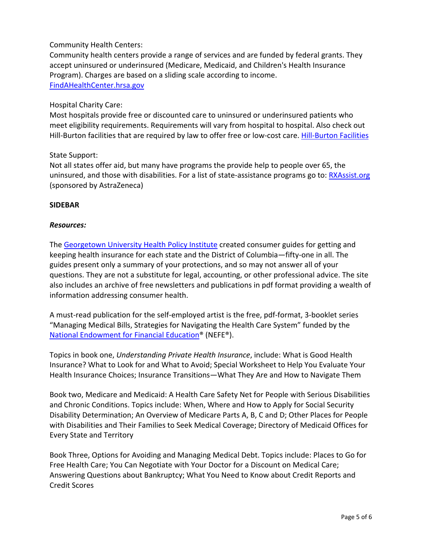# Community Health Centers:

Community health centers provide a range of services and are funded by federal grants. They accept uninsured or underinsured (Medicare, Medicaid, and Children's Health Insurance Program). Charges are based on a sliding scale according to income. [FindAHealthCenter.hrsa.gov](http://findahealthcenter.hrsa.gov/)

### Hospital Charity Care:

Most hospitals provide free or discounted care to uninsured or underinsured patients who meet eligibility requirements. Requirements will vary from hospital to hospital. Also check out Hill-Burton facilities that are required by law to offer free or low-cost care. Hill-Burton [Facilities](http://hrsa.gov/hillburton)

#### State Support:

Not all states offer aid, but many have programs the provide help to people over 65, the uninsured, and those with disabilities. For a list of state-assistance programs go to: [RXAssist.org](http://www.rxassist.org/patients/res-state-programs.cfm) (sponsored by AstraZeneca)

#### **SIDEBAR**

#### *Resources:*

The [Georgetown](http://ihcrp.georgetown.edu/) University Health Policy Institute created consumer guides for getting and keeping health insurance for each state and the District of Columbia—fifty-one in all. The guides present only a summary of your protections, and so may not answer all of your questions. They are not a substitute for legal, accounting, or other professional advice. The site also includes an archive of free newsletters and publications in pdf format providing a wealth of information addressing consumer health.

A must‐read publication for the self‐employed artist is the free, pdf‐format, 3‐booklet series "Managing Medical Bills, Strategies for Navigating the Health Care System" funded by the National [Endowment](http://www.nefe.org/) for Financial Education® (NEFE®).

Topics in book one, *Understanding Private Health Insurance*, include: What is Good Health Insurance? What to Look for and What to Avoid; Special Worksheet to Help You Evaluate Your Health Insurance Choices; Insurance Transitions—What They Are and How to Navigate Them

Book two, Medicare and Medicaid: A Health Care Safety Net for People with Serious Disabilities and Chronic Conditions. Topics include: When, Where and How to Apply for Social Security Disability Determination; An Overview of Medicare Parts A, B, C and D; Other Places for People with Disabilities and Their Families to Seek Medical Coverage; Directory of Medicaid Offices for Every State and Territory

Book Three, Options for Avoiding and Managing Medical Debt. Topics include: Places to Go for Free Health Care; You Can Negotiate with Your Doctor for a Discount on Medical Care; Answering Questions about Bankruptcy; What You Need to Know about Credit Reports and Credit Scores